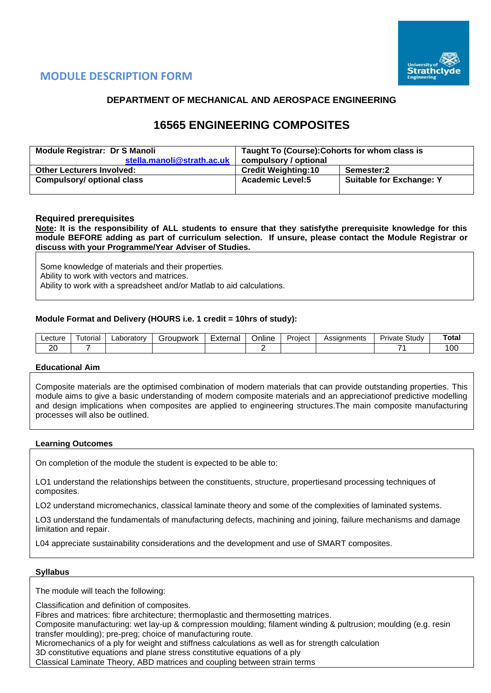

# **MODULE DESCRIPTION FORM**

### **DEPARTMENT OF MECHANICAL AND AEROSPACE ENGINEERING**

# **16565 ENGINEERING COMPOSITES**

| <b>Module Registrar: Dr S Manoli</b> | Taught To (Course): Cohorts for whom class is |                                 |  |  |  |  |  |
|--------------------------------------|-----------------------------------------------|---------------------------------|--|--|--|--|--|
| stella.manoli@strath.ac.uk           | compulsory / optional                         |                                 |  |  |  |  |  |
| <b>Other Lecturers Involved:</b>     | <b>Credit Weighting:10</b>                    | Semester:2                      |  |  |  |  |  |
| <b>Compulsory/ optional class</b>    | <b>Academic Level:5</b>                       | <b>Suitable for Exchange: Y</b> |  |  |  |  |  |

#### **Required prerequisites**

**Note: It is the responsibility of ALL students to ensure that they satisfythe prerequisite knowledge for this module BEFORE adding as part of curriculum selection. If unsure, please contact the Module Registrar or discuss with your Programme/Year Adviser of Studies.**

Some knowledge of materials and their properties. Ability to work with vectors and matrices. Ability to work with a spreadsheet and/or Matlab to aid calculations.

#### **Module Format and Delivery (HOURS i.e. 1 credit = 10hrs of study):**

| ∟ecture  | utoria | ∟aborator∨<br>___ | `roupwork | External | $\cdot$ .<br><b>Jnline</b> | Project | anments<br>0.0101<br>רטר | Study<br>'ivate<br>۳۳۰ ب | Гоtal |
|----------|--------|-------------------|-----------|----------|----------------------------|---------|--------------------------|--------------------------|-------|
| ററ<br>∠ບ |        |                   |           |          |                            |         |                          | _                        | 'OC   |

#### **Educational Aim**

Composite materials are the optimised combination of modern materials that can provide outstanding properties. This module aims to give a basic understanding of modern composite materials and an appreciationof predictive modelling and design implications when composites are applied to engineering structures.The main composite manufacturing processes will also be outlined.

#### **Learning Outcomes**

On completion of the module the student is expected to be able to:

LO1 understand the relationships between the constituents, structure, propertiesand processing techniques of composites.

LO2 understand micromechanics, classical laminate theory and some of the complexities of laminated systems.

LO3 understand the fundamentals of manufacturing defects, machining and joining, failure mechanisms and damage limitation and repair.

L04 appreciate sustainability considerations and the development and use of SMART composites.

#### **Syllabus**

The module will teach the following:

Classification and definition of composites.

Fibres and matrices: fibre architecture; thermoplastic and thermosetting matrices.

Composite manufacturing: wet lay-up & compression moulding; filament winding & pultrusion; moulding (e.g. resin transfer moulding); pre-preg; choice of manufacturing route.

Micromechanics of a ply for weight and stiffness calculations as well as for strength calculation

3D constitutive equations and plane stress constitutive equations of a ply

Classical Laminate Theory, ABD matrices and coupling between strain terms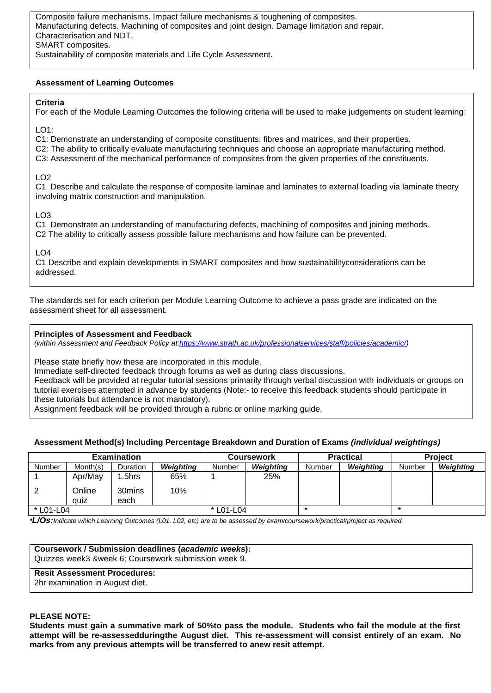Composite failure mechanisms. Impact failure mechanisms & toughening of composites. Manufacturing defects. Machining of composites and joint design. Damage limitation and repair. Characterisation and NDT. SMART composites. Sustainability of composite materials and Life Cycle Assessment.

#### **Assessment of Learning Outcomes**

#### **Criteria**

For each of the Module Learning Outcomes the following criteria will be used to make judgements on student learning:

 $LO1$ 

C1: Demonstrate an understanding of composite constituents: fibres and matrices, and their properties.

C2: The ability to critically evaluate manufacturing techniques and choose an appropriate manufacturing method.

C3: Assessment of the mechanical performance of composites from the given properties of the constituents.

#### LO2

C1 Describe and calculate the response of composite laminae and laminates to external loading via laminate theory involving matrix construction and manipulation.

 $LO3$ 

C1 Demonstrate an understanding of manufacturing defects, machining of composites and joining methods. C2 The ability to critically assess possible failure mechanisms and how failure can be prevented.

#### LO4

C1 Describe and explain developments in SMART composites and how sustainabilityconsiderations can be addressed.

The standards set for each criterion per Module Learning Outcome to achieve a pass grade are indicated on the assessment sheet for all assessment.

#### **Principles of Assessment and Feedback**

*(within Assessment and Feedback Policy a[t:https://www.strath.ac.uk/professionalservices/staff/policies/academic/\)](https://www.strath.ac.uk/professionalservices/staff/policies/academic/)*

Please state briefly how these are incorporated in this module.

Immediate self-directed feedback through forums as well as during class discussions.

Feedback will be provided at regular tutorial sessions primarily through verbal discussion with individuals or groups on tutorial exercises attempted in advance by students (Note:- to receive this feedback students should participate in these tutorials but attendance is not mandatory).

Assignment feedback will be provided through a rubric or online marking guide.

#### **Assessment Method(s) Including Percentage Breakdown and Duration of Exams** *(individual weightings)*

|           |                | <b>Examination</b> |                  |           | <b>Coursework</b> |        | <b>Practical</b> | <b>Project</b> |           |  |
|-----------|----------------|--------------------|------------------|-----------|-------------------|--------|------------------|----------------|-----------|--|
| Number    | Month(s)       | <b>Duration</b>    | <b>Weighting</b> | Number    | Weighting         | Number | <b>Weighting</b> | Number         | Weighting |  |
|           | Apr/May        | .5hrs              | 65%              |           | 25%               |        |                  |                |           |  |
|           | Online<br>quiz | 30mins<br>each     | 10%              |           |                   |        |                  |                |           |  |
| * L01-L04 |                |                    |                  | * L01-L04 |                   |        |                  |                |           |  |

*\*L/Os:Indicate which Learning Outcomes (L01, L02, etc) are to be assessed by exam/coursework/practical/project as required.*

| Coursework / Submission deadlines (academic weeks):<br>Quizzes week3 &week 6; Coursework submission week 9. |
|-------------------------------------------------------------------------------------------------------------|
| <b>Resit Assessment Procedures:</b><br>2hr examination in August diet.                                      |

#### **PLEASE NOTE:**

**Students must gain a summative mark of 50%to pass the module. Students who fail the module at the first attempt will be re-assessedduringthe August diet. This re-assessment will consist entirely of an exam. No marks from any previous attempts will be transferred to anew resit attempt.**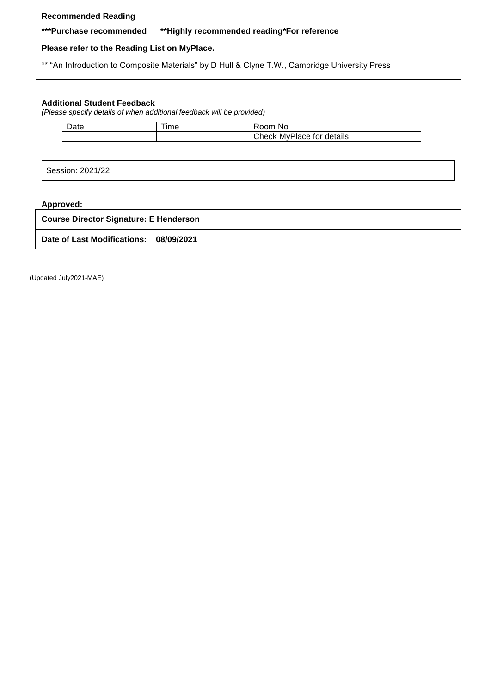#### **Recommended Reading**

### **\*\*\*Purchase recommended \*\*Highly recommended reading\*For reference**

## **Please refer to the Reading List on MyPlace.**

\*\* "An Introduction to Composite Materials" by D Hull & Clyne T.W., Cambridge University Press

## **Additional Student Feedback**

*(Please specify details of when additional feedback will be provided)*

| Date | --<br>ıme | No<br>≺oom                   |
|------|-----------|------------------------------|
|      |           | Check<br>MyPlace for details |

Session: 2021/22

## **Approved:**

| <b>Course Director Signature: E Henderson</b> |  |  |  |  |  |  |  |  |
|-----------------------------------------------|--|--|--|--|--|--|--|--|
| Date of Last Modifications: 08/09/2021        |  |  |  |  |  |  |  |  |

(Updated July2021-MAE)